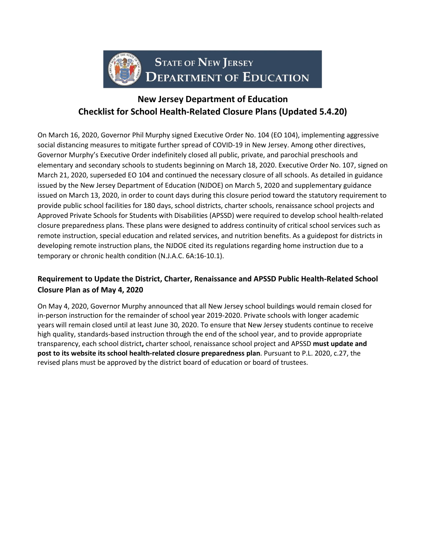

# **New Jersey Department of Education Checklist for School Health-Related Closure Plans (Updated 5.4.20)**

On March 16, 2020, Governor Phil Murphy signed Executive Order No. 104 (EO 104), implementing aggressive social distancing measures to mitigate further spread of COVID-19 in New Jersey. Among other directives, Governor Murphy's Executive Order indefinitely closed all public, private, and parochial preschools and elementary and secondary schools to students beginning on March 18, 2020. Executive Order No. 107, signed on March 21, 2020, superseded EO 104 and continued the necessary closure of all schools. As detailed in guidance issued by the New Jersey Department of Education (NJDOE) on March 5, 2020 and supplementary guidance issued on March 13, 2020, in order to count days during this closure period toward the statutory requirement to provide public school facilities for 180 days, school districts, charter schools, renaissance school projects and Approved Private Schools for Students with Disabilities (APSSD) were required to develop school health-related closure preparedness plans. These plans were designed to address continuity of critical school services such as remote instruction, special education and related services, and nutrition benefits. As a guidepost for districts in developing remote instruction plans, the NJDOE cited its regulations regarding home instruction due to a temporary or chronic health condition (N.J.A.C. 6A:16-10.1).

## **Requirement to Update the District, Charter, Renaissance and APSSD Public Health-Related School Closure Plan as of May 4, 2020**

On May 4, 2020, Governor Murphy announced that all New Jersey school buildings would remain closed for in-person instruction for the remainder of school year 2019-2020. Private schools with longer academic years will remain closed until at least June 30, 2020. To ensure that New Jersey students continue to receive high quality, standards-based instruction through the end of the school year, and to provide appropriate transparency, each school district**,** charter school, renaissance school project and APSSD **must update and post to its website its school health-related closure preparedness plan**. Pursuant to P.L. 2020, c.27, the revised plans must be approved by the district board of education or board of trustees.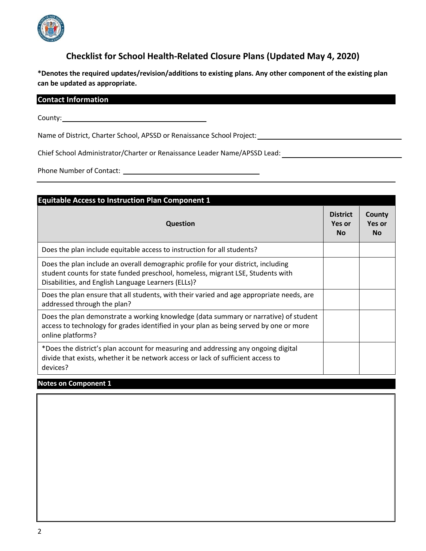

# **Checklist for School Health-Related Closure Plans (Updated May 4, 2020)**

**\*Denotes the required updates/revision/additions to existing plans. Any other component of the existing plan can be updated as appropriate.**

| <b>Contact Information</b> |  |  |
|----------------------------|--|--|
|                            |  |  |
|                            |  |  |

County:

Name of District, Charter School, APSSD or Renaissance School Project:

Chief School Administrator/Charter or Renaissance Leader Name/APSSD Lead:

Phone Number of Contact:

| <b>Equitable Access to Instruction Plan Component 1</b>                                                                                                                                                                     |                                        |                                      |
|-----------------------------------------------------------------------------------------------------------------------------------------------------------------------------------------------------------------------------|----------------------------------------|--------------------------------------|
| <b>Question</b>                                                                                                                                                                                                             | <b>District</b><br>Yes or<br><b>No</b> | County<br><b>Yes or</b><br><b>No</b> |
| Does the plan include equitable access to instruction for all students?                                                                                                                                                     |                                        |                                      |
| Does the plan include an overall demographic profile for your district, including<br>student counts for state funded preschool, homeless, migrant LSE, Students with<br>Disabilities, and English Language Learners (ELLs)? |                                        |                                      |
| Does the plan ensure that all students, with their varied and age appropriate needs, are<br>addressed through the plan?                                                                                                     |                                        |                                      |
| Does the plan demonstrate a working knowledge (data summary or narrative) of student<br>access to technology for grades identified in your plan as being served by one or more<br>online platforms?                         |                                        |                                      |
| *Does the district's plan account for measuring and addressing any ongoing digital<br>divide that exists, whether it be network access or lack of sufficient access to<br>devices?                                          |                                        |                                      |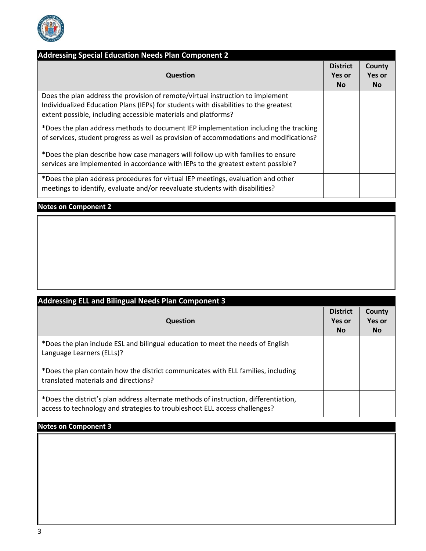

| <b>Addressing Special Education Needs Plan Component 2</b>                                                                                                                                                                               |                                         |                               |
|------------------------------------------------------------------------------------------------------------------------------------------------------------------------------------------------------------------------------------------|-----------------------------------------|-------------------------------|
| <b>Question</b>                                                                                                                                                                                                                          | <b>District</b><br><b>Yes or</b><br>No. | County<br>Yes or<br><b>No</b> |
| Does the plan address the provision of remote/virtual instruction to implement<br>Individualized Education Plans (IEPs) for students with disabilities to the greatest<br>extent possible, including accessible materials and platforms? |                                         |                               |
| *Does the plan address methods to document IEP implementation including the tracking<br>of services, student progress as well as provision of accommodations and modifications?                                                          |                                         |                               |
| *Does the plan describe how case managers will follow up with families to ensure<br>services are implemented in accordance with IEPs to the greatest extent possible?                                                                    |                                         |                               |
| *Does the plan address procedures for virtual IEP meetings, evaluation and other<br>meetings to identify, evaluate and/or reevaluate students with disabilities?                                                                         |                                         |                               |

## **Notes on Component 2**

| <b>Addressing ELL and Bilingual Needs Plan Component 3</b>                                                                                                         |                                        |                               |
|--------------------------------------------------------------------------------------------------------------------------------------------------------------------|----------------------------------------|-------------------------------|
| <b>Question</b>                                                                                                                                                    | <b>District</b><br>Yes or<br><b>No</b> | County<br>Yes or<br><b>No</b> |
| *Does the plan include ESL and bilingual education to meet the needs of English<br>Language Learners (ELLs)?                                                       |                                        |                               |
| *Does the plan contain how the district communicates with ELL families, including<br>translated materials and directions?                                          |                                        |                               |
| *Does the district's plan address alternate methods of instruction, differentiation,<br>access to technology and strategies to troubleshoot ELL access challenges? |                                        |                               |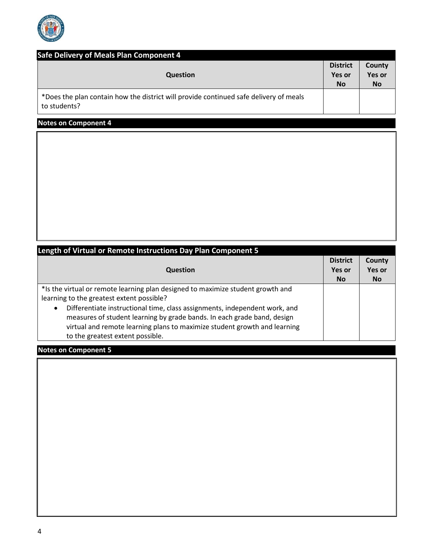

| Safe Delivery of Meals Plan Component 4<br><b>Question</b>                                            | <b>District</b><br>Yes or<br><b>No</b> | County<br><b>Yes or</b><br><b>No</b> |
|-------------------------------------------------------------------------------------------------------|----------------------------------------|--------------------------------------|
| *Does the plan contain how the district will provide continued safe delivery of meals<br>to students? |                                        |                                      |

## **Notes on Component 4**

| Length of Virtual or Remote Instructions Day Plan Component 5                                                                                                                                                                                                                                                                                                                                                       |                           |                         |
|---------------------------------------------------------------------------------------------------------------------------------------------------------------------------------------------------------------------------------------------------------------------------------------------------------------------------------------------------------------------------------------------------------------------|---------------------------|-------------------------|
| <b>Question</b>                                                                                                                                                                                                                                                                                                                                                                                                     | <b>District</b><br>Yes or | County<br><b>Yes or</b> |
|                                                                                                                                                                                                                                                                                                                                                                                                                     | <b>No</b>                 | <b>No</b>               |
| *Is the virtual or remote learning plan designed to maximize student growth and<br>learning to the greatest extent possible?<br>Differentiate instructional time, class assignments, independent work, and<br>$\bullet$<br>measures of student learning by grade bands. In each grade band, design<br>virtual and remote learning plans to maximize student growth and learning<br>to the greatest extent possible. |                           |                         |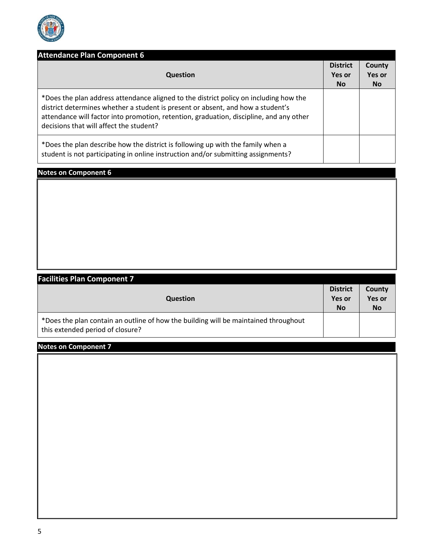

| <b>Attendance Plan Component 6</b>                                                                                                                                                                                                                                                                             | <b>District</b> | County    |
|----------------------------------------------------------------------------------------------------------------------------------------------------------------------------------------------------------------------------------------------------------------------------------------------------------------|-----------------|-----------|
| <b>Question</b>                                                                                                                                                                                                                                                                                                | Yes or          | Yes or    |
|                                                                                                                                                                                                                                                                                                                | No.             | <b>No</b> |
| *Does the plan address attendance aligned to the district policy on including how the<br>district determines whether a student is present or absent, and how a student's<br>attendance will factor into promotion, retention, graduation, discipline, and any other<br>decisions that will affect the student? |                 |           |
| *Does the plan describe how the district is following up with the family when a<br>student is not participating in online instruction and/or submitting assignments?                                                                                                                                           |                 |           |

## **Notes on Component 6**

| <b>Facilities Plan Component 7</b>                                                                                      |                            |                            |
|-------------------------------------------------------------------------------------------------------------------------|----------------------------|----------------------------|
|                                                                                                                         |                            | County                     |
| <b>Question</b>                                                                                                         | <b>Yes or</b><br><b>No</b> | <b>Yes or</b><br><b>No</b> |
| *Does the plan contain an outline of how the building will be maintained throughout<br>this extended period of closure? |                            |                            |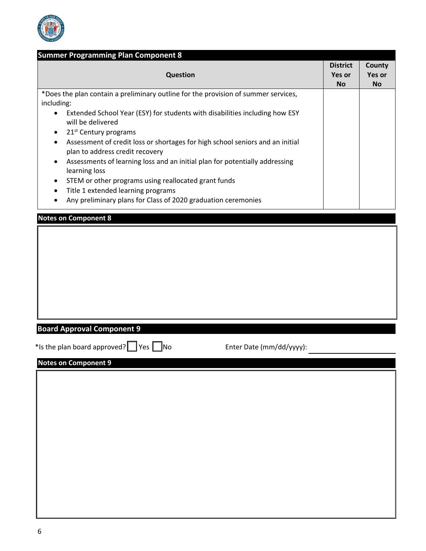

| <b>Question</b>                                                                                                              | <b>District</b><br>Yes or<br><b>No</b> | County<br><b>Yes or</b><br><b>No</b> |
|------------------------------------------------------------------------------------------------------------------------------|----------------------------------------|--------------------------------------|
| *Does the plan contain a preliminary outline for the provision of summer services,                                           |                                        |                                      |
| including:<br>Extended School Year (ESY) for students with disabilities including how ESY                                    |                                        |                                      |
| will be delivered                                                                                                            |                                        |                                      |
| 21 <sup>st</sup> Century programs<br>٠<br>Assessment of credit loss or shortages for high school seniors and an initial<br>٠ |                                        |                                      |
| plan to address credit recovery                                                                                              |                                        |                                      |
| Assessments of learning loss and an initial plan for potentially addressing<br>learning loss                                 |                                        |                                      |
| STEM or other programs using reallocated grant funds                                                                         |                                        |                                      |
| Title 1 extended learning programs<br>٠                                                                                      |                                        |                                      |
| Any preliminary plans for Class of 2020 graduation ceremonies                                                                |                                        |                                      |
| <b>Notes on Component 8</b>                                                                                                  |                                        |                                      |
| <b>Board Approval Component 9</b><br>*Is the plan board approved? $\Box$ Yes $\Box$ No<br>Enter Date (mm/dd/yyyy):           |                                        |                                      |
| <b>Notes on Component 9</b>                                                                                                  |                                        |                                      |
|                                                                                                                              |                                        |                                      |
|                                                                                                                              |                                        |                                      |
|                                                                                                                              |                                        |                                      |
|                                                                                                                              |                                        |                                      |
|                                                                                                                              |                                        |                                      |
|                                                                                                                              |                                        |                                      |
|                                                                                                                              |                                        |                                      |
|                                                                                                                              |                                        |                                      |
|                                                                                                                              |                                        |                                      |